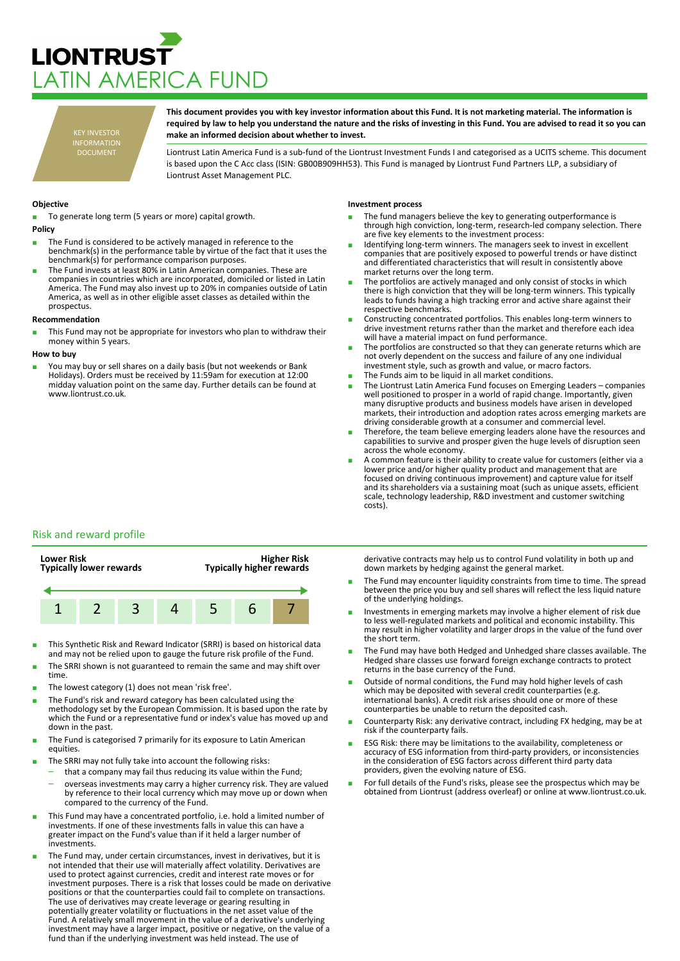# **LIONTRUST** ATIN AMERICA FUND

KEY INVESTOR INFORMATION DOCUMENT

**This document provides you with key investor information about this Fund. It is not marketing material. The information is required by law to help you understand the nature and the risks of investing in this Fund. You are advised to read it so you can make an informed decision about whether to invest.**

Liontrust Latin America Fund is a sub-fund of the Liontrust Investment Funds I and categorised as a UCITS scheme. This document is based upon the C Acc class (ISIN: GB00B909HH53). This Fund is managed by Liontrust Fund Partners LLP, a subsidiary of Liontrust Asset Management PLC.

## **Objective**

To generate long term (5 years or more) capital growth.

- **Policy**
- The Fund is considered to be actively managed in reference to the benchmark(s) in the performance table by virtue of the fact that it uses the benchmark(s) for performance comparison purposes.
- The Fund invests at least 80% in Latin American companies. These are companies in countries which are incorporated, domiciled or listed in Latin America. The Fund may also invest up to 20% in companies outside of Latin America, as well as in other eligible asset classes as detailed within the prospectus.

### **Recommendation**

This Fund may not be appropriate for investors who plan to withdraw their money within 5 years.

#### **How to buy**

■ You may buy or sell shares on a daily basis (but not weekends or Bank Holidays). Orders must be received by 11:59am for execution at 12:00 midday valuation point on the same day. Further details can be found at www.liontrust.co.uk.

#### **Investment process**

- The fund managers believe the key to generating outperformance is through high conviction, long-term, research-led company selection. There are five key elements to the investment process:
- Identifying long-term winners. The managers seek to invest in excellent companies that are positively exposed to powerful trends or have distinct and differentiated characteristics that will result in consistently above market returns over the long term.
- The portfolios are actively managed and only consist of stocks in which there is high conviction that they will be long-term winners. This typically leads to funds having a high tracking error and active share against their respective benchmarks.
- Constructing concentrated portfolios. This enables long-term winners to drive investment returns rather than the market and therefore each idea will have a material impact on fund performance.
- The portfolios are constructed so that they can generate returns which are not overly dependent on the success and failure of any one individual investment style, such as growth and value, or macro factors.
- The Funds aim to be liquid in all market conditions.
- The Liontrust Latin America Fund focuses on Emerging Leaders companies well positioned to prosper in a world of rapid change. Importantly, given many disruptive products and business models have arisen in developed markets, their introduction and adoption rates across emerging markets are driving considerable growth at a consumer and commercial level.
- Therefore, the team believe emerging leaders alone have the resources and capabilities to survive and prosper given the huge levels of disruption seen across the whole economy.
- A common feature is their ability to create value for customers (either via a lower price and/or higher quality product and management that are focused on driving continuous improvement) and capture value for itself and its shareholders via a sustaining moat (such as unique assets, efficient scale, technology leadership, R&D investment and customer switching costs).

# Risk and reward profile



- This Synthetic Risk and Reward Indicator (SRRI) is based on historical data and may not be relied upon to gauge the future risk profile of the Fund.
- The SRRI shown is not guaranteed to remain the same and may shift over time.
- The lowest category (1) does not mean 'risk free'.
- The Fund's risk and reward category has been calculated using the methodology set by the European Commission. It is based upon the rate by which the Fund or a representative fund or index's value has moved up and down in the past.
- The Fund is categorised 7 primarily for its exposure to Latin American equities.
- The SRRI may not fully take into account the following risks:
	- that a company may fail thus reducing its value within the Fund; – overseas investments may carry a higher currency risk. They are valued by reference to their local currency which may move up or down when
- compared to the currency of the Fund. This Fund may have a concentrated portfolio, i.e. hold a limited number of investments. If one of these investments falls in value this can have a greater impact on the Fund's value than if it held a larger number of investments.
- The Fund may, under certain circumstances, invest in derivatives, but it is not intended that their use will materially affect volatility. Derivatives are used to protect against currencies, credit and interest rate moves or for investment purposes. There is a risk that losses could be made on derivative positions or that the counterparties could fail to complete on transactions. The use of derivatives may create leverage or gearing resulting in potentially greater volatility or fluctuations in the net asset value of the Fund. A relatively small movement in the value of a derivative's underlying investment may have a larger impact, positive or negative, on the value of a fund than if the underlying investment was held instead. The use of

derivative contracts may help us to control Fund volatility in both up and down markets by hedging against the general market.

- The Fund may encounter liquidity constraints from time to time. The spread between the price you buy and sell shares will reflect the less liquid nature of the underlying holdings.
- Investments in emerging markets may involve a higher element of risk due to less well-regulated markets and political and economic instability. This may result in higher volatility and larger drops in the value of the fund over the short term.
- The Fund may have both Hedged and Unhedged share classes available. The Hedged share classes use forward foreign exchange contracts to protect returns in the base currency of the Fund.
- Outside of normal conditions, the Fund may hold higher levels of cash which may be deposited with several credit counterparties (e.g. international banks). A credit risk arises should one or more of these counterparties be unable to return the deposited cash.
- Counterparty Risk: any derivative contract, including FX hedging, may be at risk if the counterparty fails.
- ESG Risk: there may be limitations to the availability, completeness or accuracy of ESG information from third-party providers, or inconsistencies in the consideration of ESG factors across different third party data providers, given the evolving nature of ESG.
- For full details of the Fund's risks, please see the prospectus which may be obtained from Liontrust (address overleaf) or online at www.liontrust.co.uk.